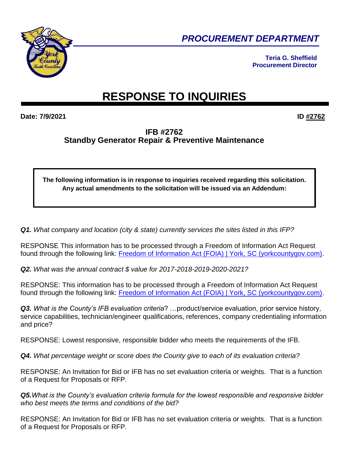

*PROCUREMENT DEPARTMENT* 

**Teria G. Sheffield Procurement Director**

## **RESPONSE TO INQUIRIES**

**Date: 7/9/2021 ID #2762**

## **IFB #2762 Standby Generator Repair & Preventive Maintenance**

**The following information is in response to inquiries received regarding this solicitation. Any actual amendments to the solicitation will be issued via an Addendum:**

*Q1. What company and location (city & state) currently services the sites listed in this IFP?* 

RESPONSE This information has to be processed through a Freedom of Information Act Request found through the following link: [Freedom of Information Act \(FOIA\) | York, SC \(yorkcountygov.com\).](file:///C:/Users/wallacek/AppData/Local/Microsoft/Windows/INetCache/Content.Outlook/0YKCZWW4/Freedom%20of%20Information%20Act%20(FOIA)%20|%20York,%20SC%20(yorkcountygov.com))

*Q2. What was the annual contract \$ value for 2017-2018-2019-2020-2021?* 

RESPONSE: This information has to be processed through a Freedom of Information Act Request found through the following link: [Freedom of Information Act \(FOIA\) | York, SC \(yorkcountygov.com\).](file:///C:/Users/wallacek/AppData/Local/Microsoft/Windows/INetCache/Content.Outlook/0YKCZWW4/Freedom%20of%20Information%20Act%20(FOIA)%20|%20York,%20SC%20(yorkcountygov.com))

*Q3. What is the County's IFB evaluation criteria*? …product/service evaluation, prior service history, service capabilities, technician/engineer qualifications, references, company credentialing information and price?

RESPONSE: Lowest responsive, responsible bidder who meets the requirements of the IFB.

*Q4. What percentage weight or score does the County give to each of its evaluation criteria?*

RESPONSE: An Invitation for Bid or IFB has no set evaluation criteria or weights. That is a function of a Request for Proposals or RFP.

*Q5.What is the County's evaluation criteria formula for the lowest responsible and responsive bidder who best meets the terms and conditions of the bid?* 

RESPONSE: An Invitation for Bid or IFB has no set evaluation criteria or weights. That is a function of a Request for Proposals or RFP.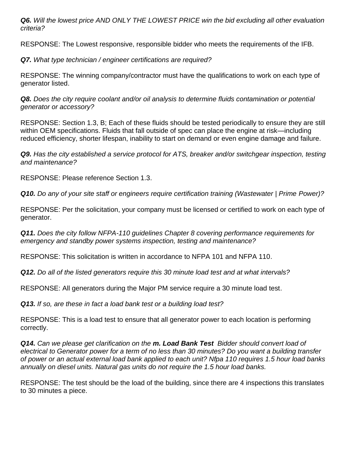*Q6. Will the lowest price AND ONLY THE LOWEST PRICE win the bid excluding all other evaluation criteria?* 

RESPONSE: The Lowest responsive, responsible bidder who meets the requirements of the IFB.

*Q7. What type technician / engineer certifications are required?* 

RESPONSE: The winning company/contractor must have the qualifications to work on each type of generator listed.

*Q8. Does the city require coolant and/or oil analysis to determine fluids contamination or potential generator or accessory?*

RESPONSE: Section 1.3, B; Each of these fluids should be tested periodically to ensure they are still within OEM specifications. Fluids that fall outside of spec can place the engine at risk—including reduced efficiency, shorter lifespan, inability to start on demand or even engine damage and failure.

*Q9. Has the city established a service protocol for ATS, breaker and/or switchgear inspection, testing and maintenance?*

RESPONSE: Please reference Section 1.3.

*Q10. Do any of your site staff or engineers require certification training (Wastewater | Prime Power)?* 

RESPONSE: Per the solicitation, your company must be licensed or certified to work on each type of generator.

*Q11. Does the city follow NFPA-110 guidelines Chapter 8 covering performance requirements for emergency and standby power systems inspection, testing and maintenance?* 

RESPONSE: This solicitation is written in accordance to NFPA 101 and NFPA 110.

*Q12. Do all of the listed generators require this 30 minute load test and at what intervals?* 

RESPONSE: All generators during the Major PM service require a 30 minute load test.

*Q13. If so, are these in fact a load bank test or a building load test?*

RESPONSE: This is a load test to ensure that all generator power to each location is performing correctly.

*Q14. Can we please get clarification on the m. Load Bank Test Bidder should convert load of electrical to Generator power for a term of no less than 30 minutes? Do you want a building transfer of power or an actual external load bank applied to each unit? Nfpa 110 requires 1.5 hour load banks annually on diesel units. Natural gas units do not require the 1.5 hour load banks.* 

RESPONSE: The test should be the load of the building, since there are 4 inspections this translates to 30 minutes a piece.